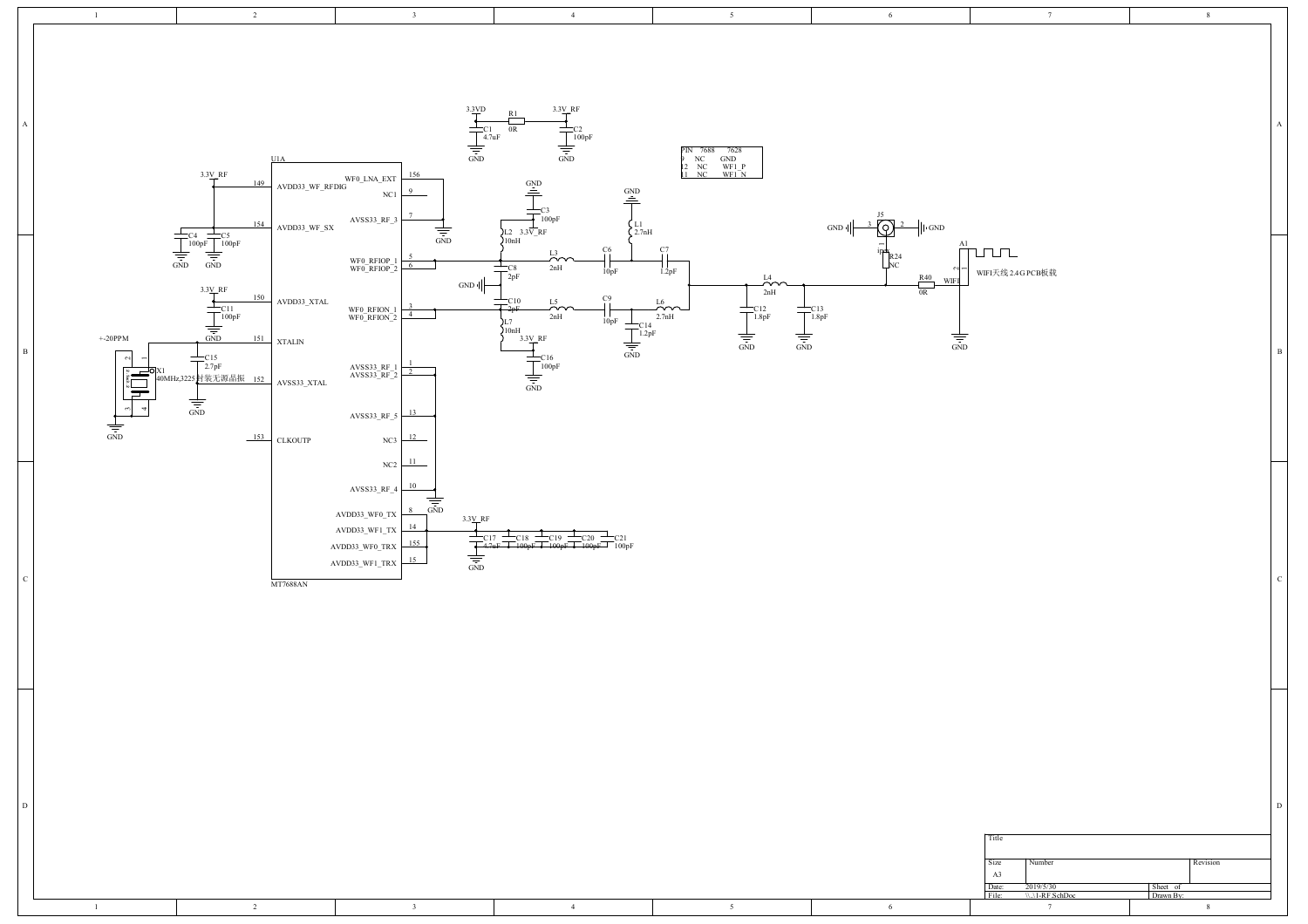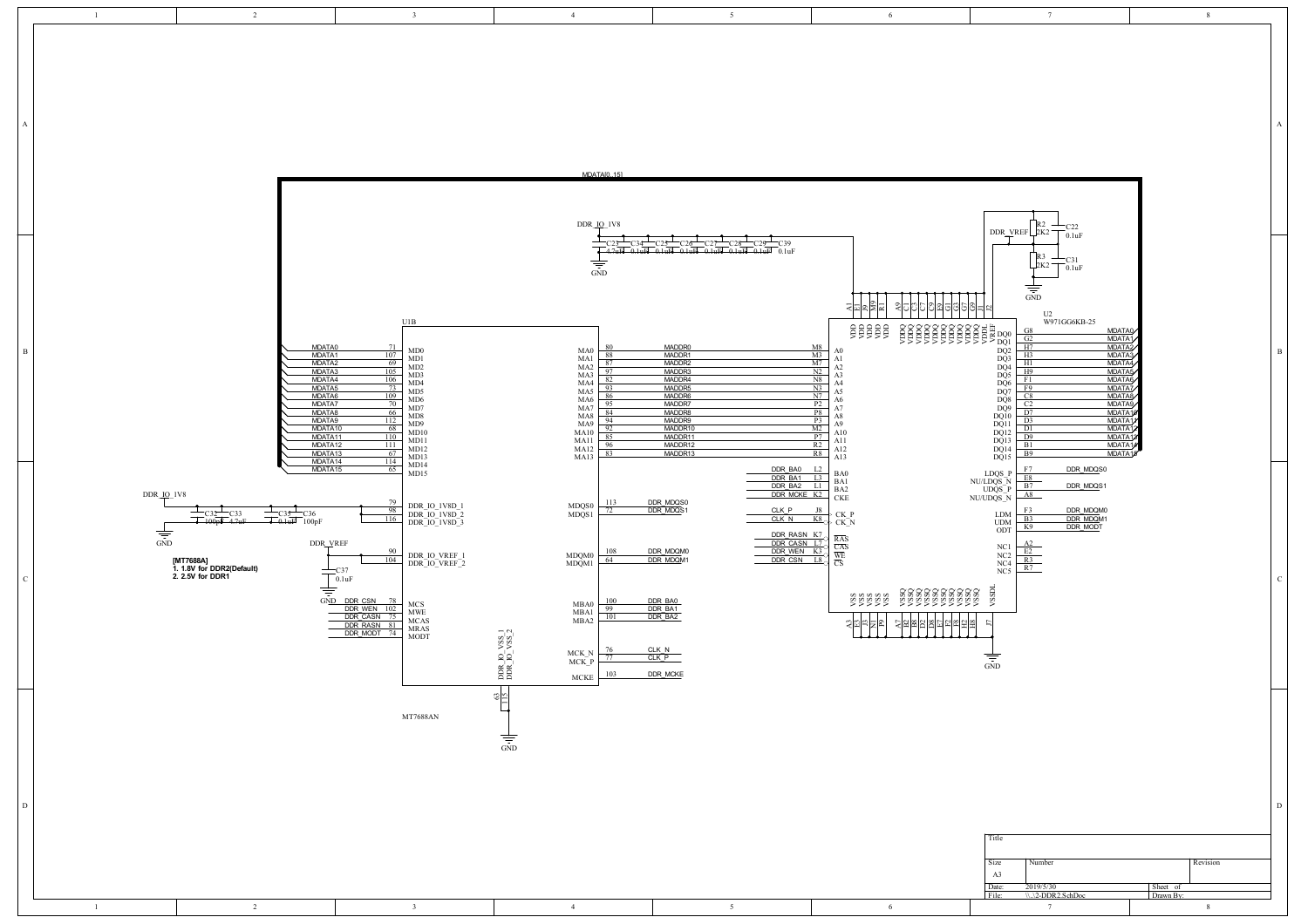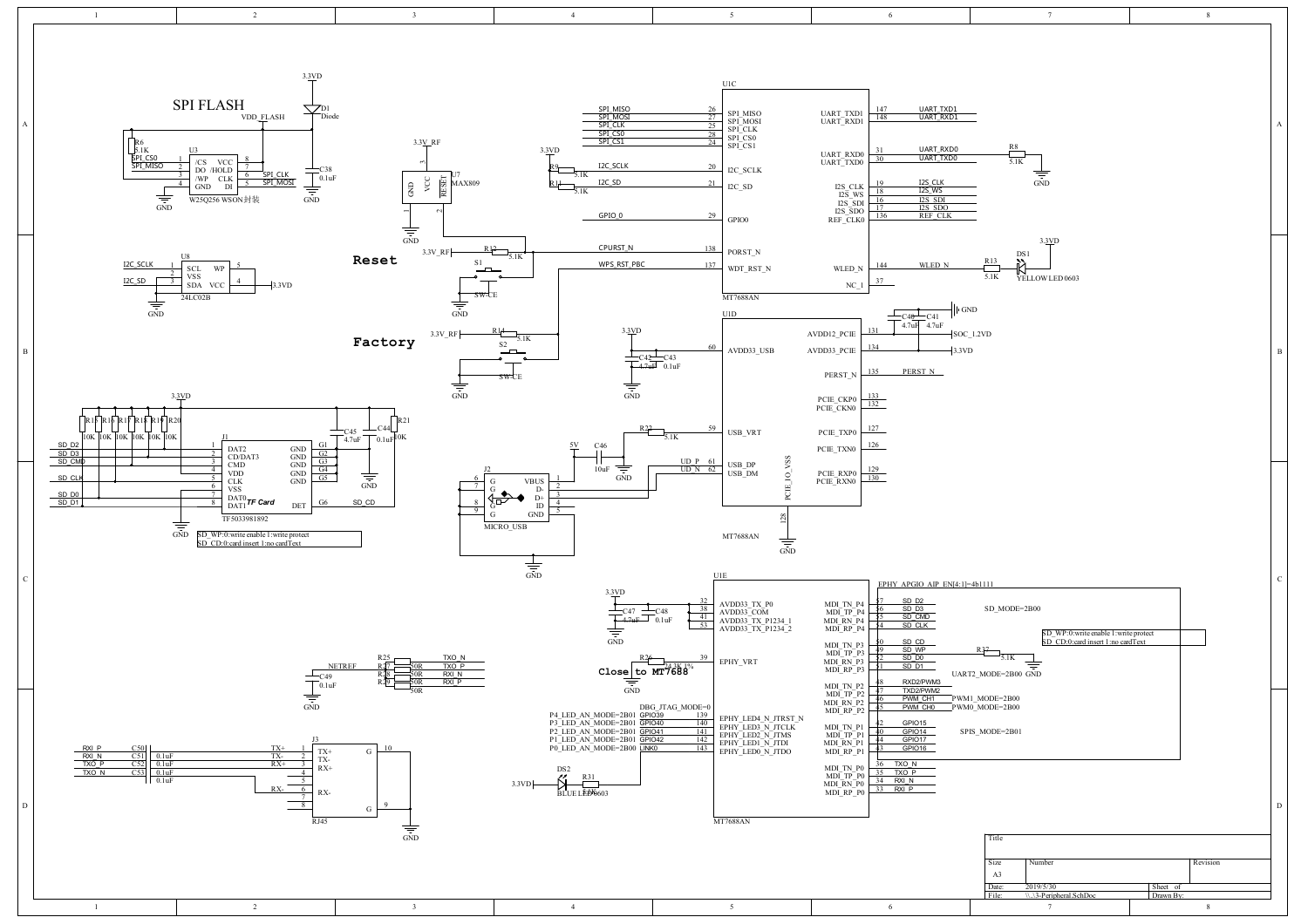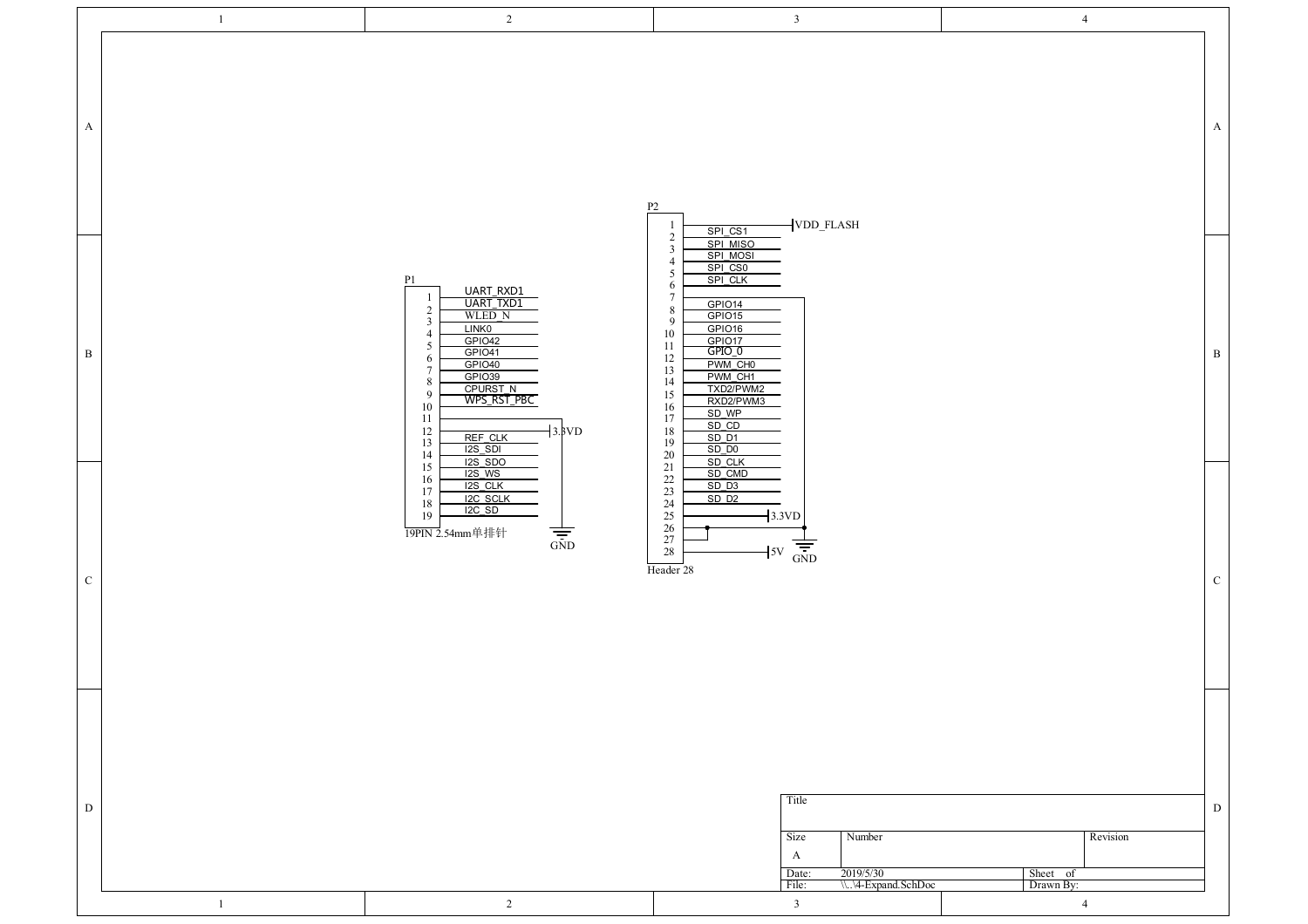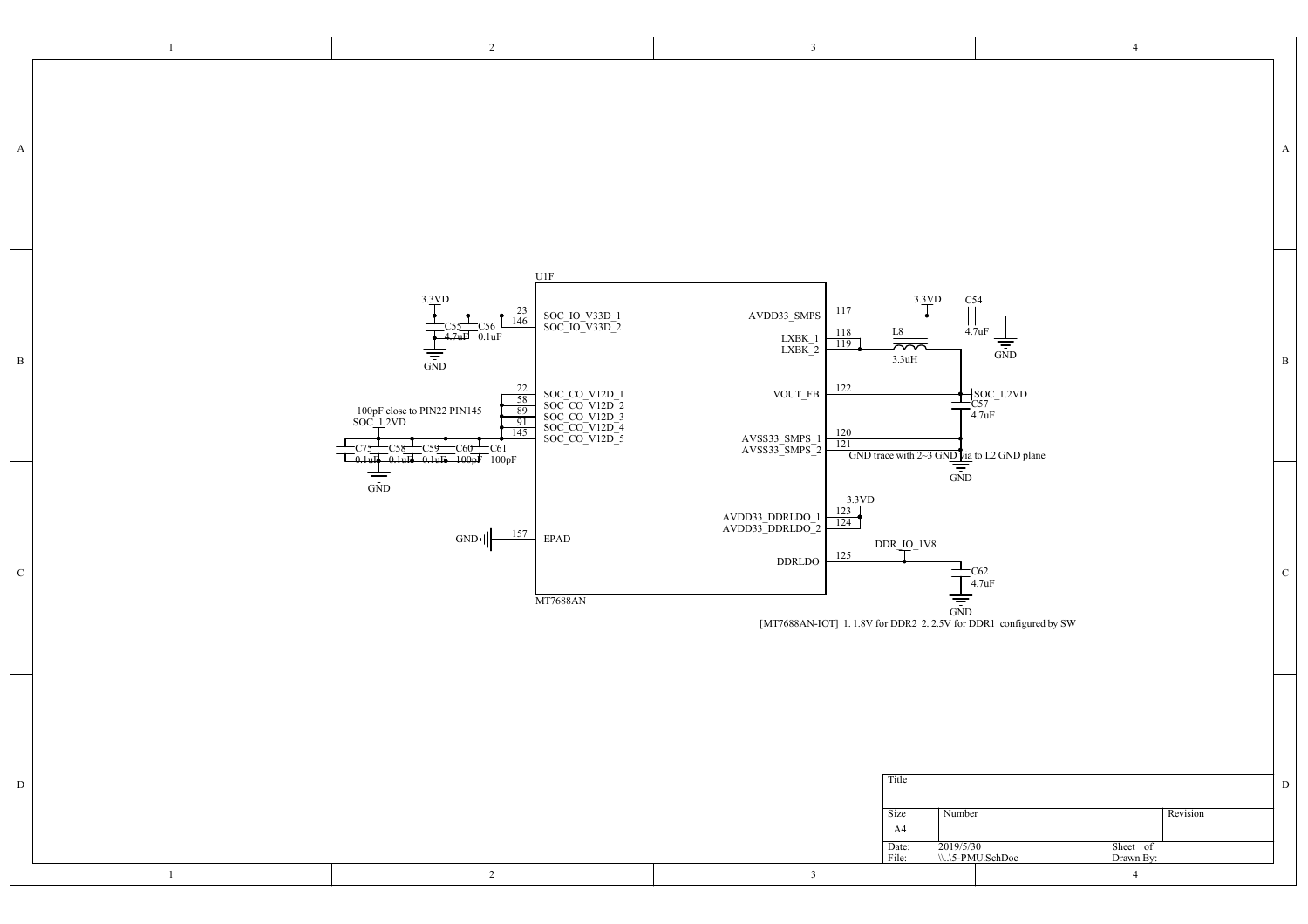|              | $\overline{1}$ | $\overline{2}$                                                                                                                                                                                                                                                                                                                                                        | $\mathbf{3}$                                                                                                                                                                                                                                                                                                                                                                                      | $\overline{4}$                                                                                                              |
|--------------|----------------|-----------------------------------------------------------------------------------------------------------------------------------------------------------------------------------------------------------------------------------------------------------------------------------------------------------------------------------------------------------------------|---------------------------------------------------------------------------------------------------------------------------------------------------------------------------------------------------------------------------------------------------------------------------------------------------------------------------------------------------------------------------------------------------|-----------------------------------------------------------------------------------------------------------------------------|
| $\mathbf{A}$ |                |                                                                                                                                                                                                                                                                                                                                                                       |                                                                                                                                                                                                                                                                                                                                                                                                   | A                                                                                                                           |
| $\, {\bf B}$ |                | U1F<br>3.3VD<br>$\frac{23}{146}$<br>SOC_IO_V33D_1<br>SOC_IO_V33D_2<br>C56<br>0.1uF<br>$\frac{1}{\sin D}$<br>$\frac{22}{58}$<br>SOC_CO_V12D_1<br>SOC_CO_V12D_2<br>SOC_CO_V12D_3<br>SOC_CO_V12D_4<br>SOC_CO_V12D_5<br>100pF close to PIN22 PIN145<br>SOC_1.2VD<br>$\frac{91}{145}$<br>C61<br>$-0.1$ ult $-0.1$ ult $-100$ p $\sqrt{100}$ 100pF<br>$\Box_{0.1\text{uF}}$ | 3.3VD<br>117<br>AVDD33_SMPS<br>118<br>L8<br>$\underset{\text{LXBK\_2}}{\text{LXBK\_1}}$<br>$\frac{119}{119}$<br>$\overline{\overline{\overline{}}\overline{\overline{}}\overline{\overline{}}\overline{\overline{}}\overline{\overline{}}\overline{\overline{}}$<br>3.3uH<br>122<br>$\,$ VOUT_FB<br>$\frac{120}{121}$<br>${\frac{{\text{AVSS33}}\text{ SMPS\_1}}{{\text{AVSS33}}\text{-MPS\_2}}}$ | C54<br>4.7uF<br>$\frac{1}{\frac{1}{\sin D}}$<br>$\, {\bf B}$<br>$\frac{\text{SOC}}{\text{C57}}_{\text{4.7uF}}^{\text{SOC}}$ |
| ${\bf C}$    |                | $\frac{1}{\sin D}$<br>157<br>$\rm EPAD$<br>$GND$ <sup><math> </math></sup><br>MT7688AN                                                                                                                                                                                                                                                                                | GND trace with 2~3 GND $\frac{\text{Diag}}{\text{GND}}$ to L2 GND plane<br>$\frac{3.3VD}{123}$<br>$\begin{array}{c} \text{AVDD33\_DDRLDO}\_1 \\ \text{AVDD33\_DDRLDO}\_2 \end{array}$<br>$\frac{124}{ }$<br>DDR_IO_1V8<br>125<br>DDRLDO<br>$\frac{1}{\frac{1}{\sqrt{5}}}$<br>[MI7688AN-IOT] 1.1.8V for DDR2 2.2.5V for DDR1 configured by SW                                                      | $T_{4.7uF}^{C62}$<br>$\mathcal{C}$                                                                                          |
| $\,$ D       | $\overline{1}$ | $\overline{2}$                                                                                                                                                                                                                                                                                                                                                        | Title<br>Size<br>Number<br>A4<br>2019/5/30<br>Date:<br>File:<br>$\overline{\mathbf{3}}$                                                                                                                                                                                                                                                                                                           | D<br>Revision<br>Sheet of<br>\\.\5-PMU.SchDoc<br>Drawn By:<br>$\overline{4}$                                                |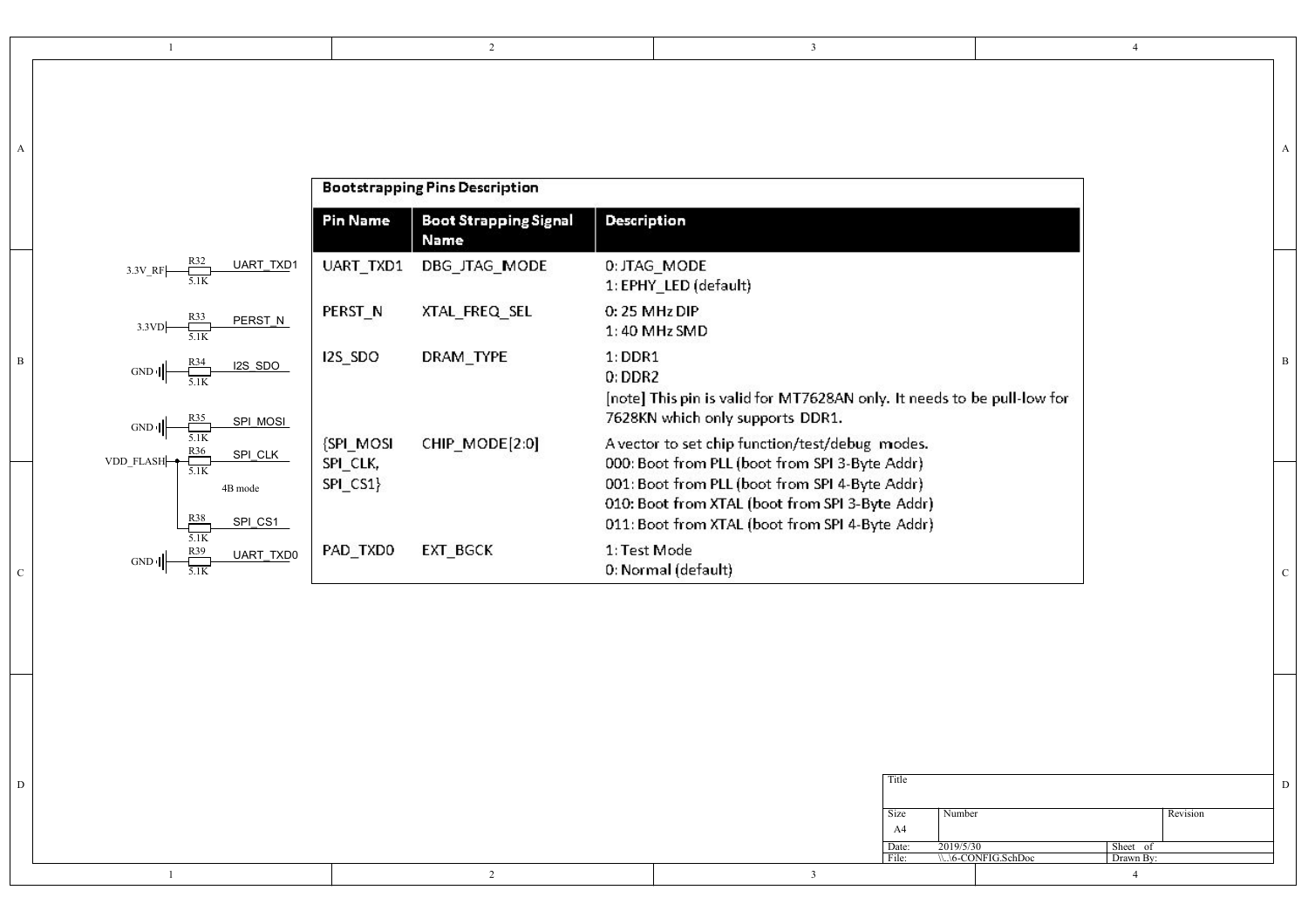A |

| <b>Bootstrapping Pins Description</b>                     |                       |                                      |                                                                                                                                                      |  |
|-----------------------------------------------------------|-----------------------|--------------------------------------|------------------------------------------------------------------------------------------------------------------------------------------------------|--|
|                                                           | <b>Pin Name</b>       | <b>Boot Strapping Signal</b><br>Name | <b>Description</b>                                                                                                                                   |  |
| <b>UART TXD1</b><br>$3.3V$ RF                             | <b>UART TXD1</b>      | DBG_JTAG_MODE                        | 0: JTAG_MODE<br>1: EPHY_LED (default)                                                                                                                |  |
| R33<br>PERST N<br>3.3VD                                   | PERST_N               | XTAL_FREQ_SEL                        | $0:25$ MHz DIP<br>1:40 MHz SMD                                                                                                                       |  |
| <u>R34</u><br><b>I2S_SDO</b><br>GND<br>SPI_MOSI<br>GND II | I2S_SDO               | DRAM TYPE                            | $1:$ DDR1<br>$0:$ DDR2<br>[note] This pin is valid for MT7628AN only. It needs to be pull-low for<br>7628KN which only supports DDR1.                |  |
| SPI_CLK<br>VDD FLASH-<br>5.1K                             | {SPI_MOSI<br>SPI_CLK, | CHIP_MODE[2:0]                       | A vector to set chip function/test/debug modes.<br>000: Boot from PLL (boot from SPI 3-Byte Addr).                                                   |  |
| 4B mode<br>R38<br>SPI_CS1                                 | SPI_CS1}              |                                      | 001: Boot from PLL (boot from SPI 4-Byte Addr)<br>010: Boot from XTAL (boot from SPI 3-Byte Addr)<br>011: Boot from XTAL (boot from SPI 4-Byte Addr) |  |
| 5.1K<br>UART_TXD0<br>GND<br>5.1K                          | PAD_TXD0              | EXT_BGCK                             | 1: Test Mode<br>0: Normal (default)                                                                                                                  |  |

|  | Title          |                                                            |          |
|--|----------------|------------------------------------------------------------|----------|
|  | Size<br>A4     | Number                                                     | Revision |
|  | Date:<br>File: | 2019/5/30<br>Sheet of<br>\\.\\6-CONFIG.SchDoc<br>Drawn By: |          |
|  |                |                                                            |          |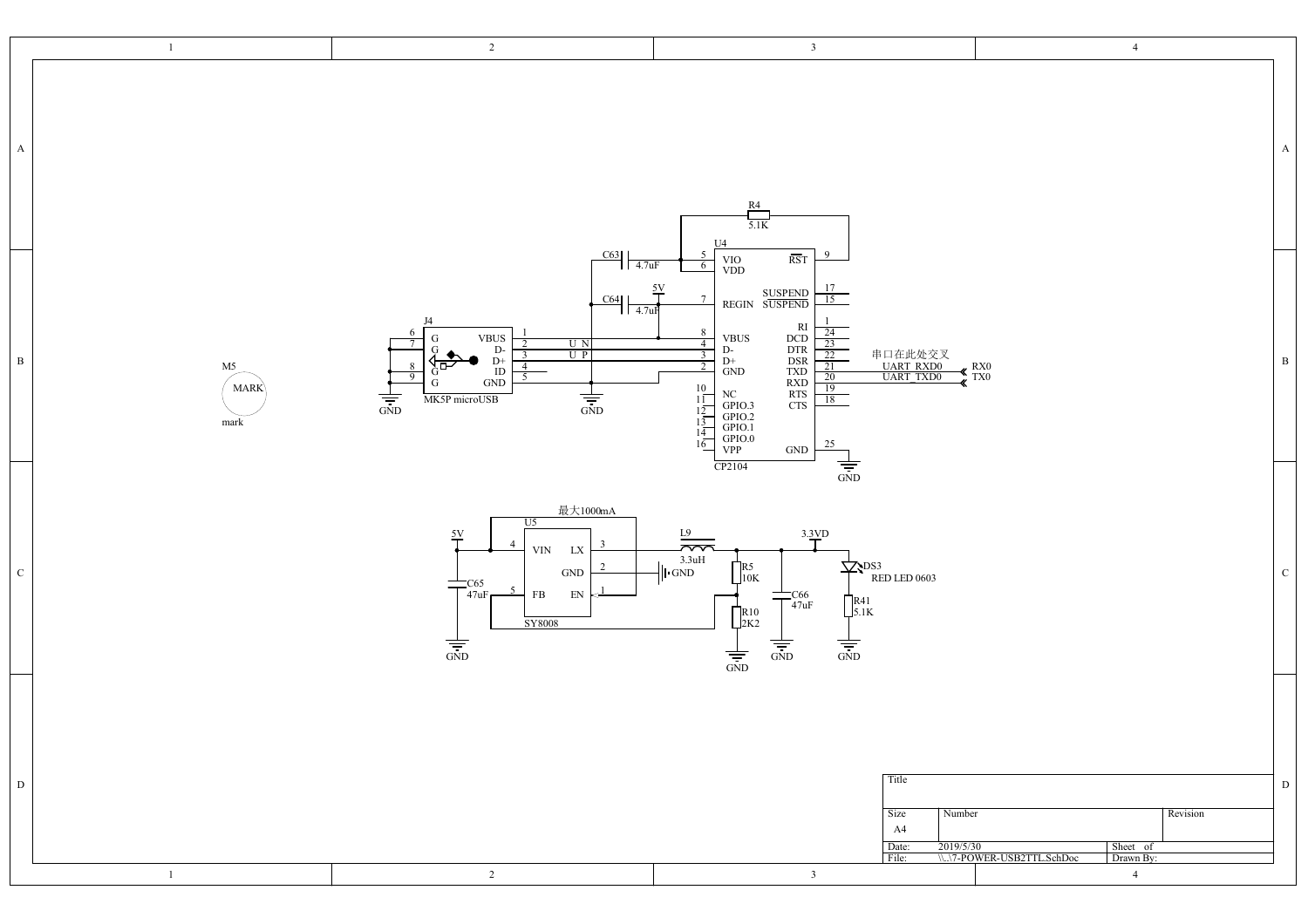| $\mathbf{1}$                                 | $\overline{2}$                                                                                                                                                                                                                                                                                                                                                                                                                       | $\overline{\mathbf{3}}$                                                                                                                                                                                                                                                                                                                                                                                                                                                                                                                                                                                                 | $\overline{4}$                                                                         |
|----------------------------------------------|--------------------------------------------------------------------------------------------------------------------------------------------------------------------------------------------------------------------------------------------------------------------------------------------------------------------------------------------------------------------------------------------------------------------------------------|-------------------------------------------------------------------------------------------------------------------------------------------------------------------------------------------------------------------------------------------------------------------------------------------------------------------------------------------------------------------------------------------------------------------------------------------------------------------------------------------------------------------------------------------------------------------------------------------------------------------------|----------------------------------------------------------------------------------------|
| A                                            |                                                                                                                                                                                                                                                                                                                                                                                                                                      | $\frac{R4}{5.1K}$                                                                                                                                                                                                                                                                                                                                                                                                                                                                                                                                                                                                       | $\mathbf{A}$                                                                           |
| $\, {\bf B} \,$<br>M5<br><b>MARK</b><br>mark | C63<br>$1\sqrt{4.7}$ uF<br>C64<br>$\frac{1}{4.7}$ ul<br>I <sub>4</sub><br>$\begin{array}{c} {\rm VBUS} \\ {\rm D-} \\ {\rm D+} \\ {\rm ID} \\ {\rm GND} \end{array}$<br>G<br>$\begin{array}{c c} \hline \text{U} & \text{N} \\ \hline \text{U} & \text{P} \end{array}$<br>$\overline{\mathbf{3}}$<br>$\overline{4}$<br>ים ִא<br>G<br>$\overline{5}$<br>9<br>G<br>$\frac{1}{\frac{1}{\sin D}}$<br>$\frac{1}{\sin D}$<br>MK5P microUSB | $_{\mathrm{U4}}$<br>- 9<br>$\overline{\text{RST}}$<br>$\frac{\text{VIO}}{\text{VDD}}$<br>6<br>$\frac{5V}{1}$<br>$\frac{17}{15}$<br>SUSPEND<br>REGIN SUSPEND<br>$7\overline{ }$<br>RI<br>DCD<br>DTR<br>DSR<br>DSR<br>TXD<br>RTS<br>CTS<br>CTS<br>$\begin{array}{r} 24 \\ 23 \\ 22 \\ 21 \\ 20 \\ 19 \\ 19 \\ 19 \\ \hline \end{array}$<br>8<br>VBUS<br>D-<br>$\overline{4}$<br>串口在此处交叉<br>UART RXD0<br>UART TXD0<br>3<br>$_\mathrm{GND}^\mathrm{+}$<br>2<br>10<br>NC<br>GPIO.3<br>GPIO.2<br>GPIO.0<br>VPP<br>$1\overline{1}$<br>18<br>12<br>13<br>14<br>25<br>16<br>$\operatorname{GND}$<br>$\frac{1}{\sin D}$<br>CP2104 | $\, {\bf B}$<br>$\frac{R}{X}$ TX <sub>0</sub>                                          |
| $\mathbf C$                                  | 最大1000mA<br>U5<br>$\frac{5V}{T}$<br>-3<br>${\rm L}{\rm X}$<br>$\ensuremath{\text{VIN}}$<br>$\operatorname{GND}$<br>$T$ C65<br>$T$ <sub>47uF</sub><br>$5\overline{)}$<br>$\mathop{\rm EN}\nolimits$<br>${\rm FB}$<br>SY8008<br>$\frac{1}{\frac{1}{100}}$                                                                                                                                                                              | 3.3VD<br>$\frac{\frac{L9}{2}}{\frac{3.3 \text{uH}}{1 \text{N}}}}$<br>$\frac{1}{\sqrt{2}}$ PS3<br>RED LED 0603<br>$\prod_{10K}^{R5}$<br>$+$ C66<br>$+$ 47uF<br>$\prod_{5.1K}^{R41}$<br>$\prod_{2K2}^{R10}$<br>$\frac{1}{\frac{1}{\sin D}}$<br>$\frac{1}{\sin D}$<br>$\frac{1}{\frac{1}{\sin D}}$                                                                                                                                                                                                                                                                                                                         | ${\bf C}$                                                                              |
| D<br>$\mathbf{1}$                            | $\overline{2}$                                                                                                                                                                                                                                                                                                                                                                                                                       | Title<br>Number<br>Size<br>A4<br>2019/5/30<br>Date:<br>File:<br>$\overline{\mathbf{3}}$                                                                                                                                                                                                                                                                                                                                                                                                                                                                                                                                 | D<br>Revision<br>Sheet of<br>\\.\7-POWER-USB2TTL.SchDoc<br>Drawn By:<br>$\overline{4}$ |